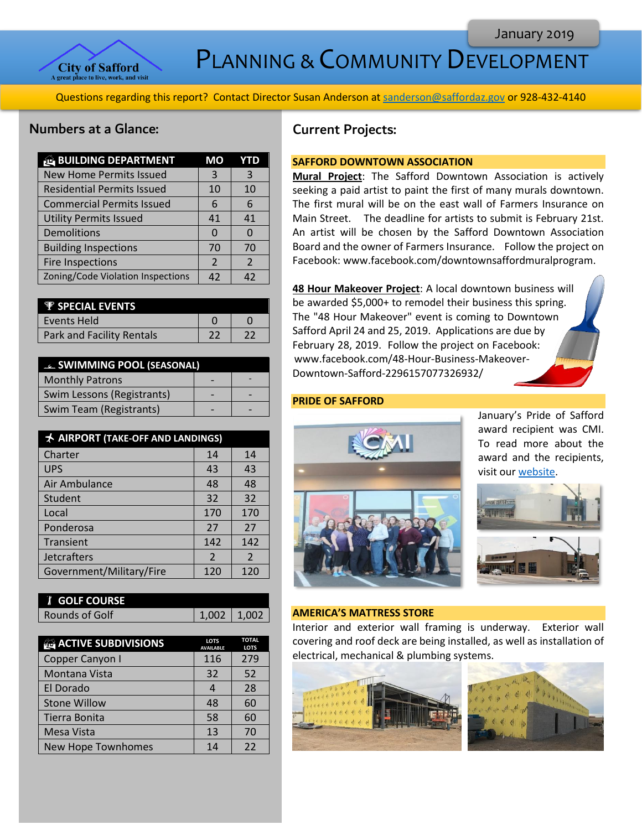

PLANNING & COMMUNITY DEVELOPMENT

Questions regarding this report? Contact Director Susan Anderson a[t sanderson@saffordaz.gov](mailto:sanderson@saffordaz.gov) or 928-432-4140

### Numbers at a Glance:

| <b>BUILDING DEPARTMENT</b>        | MO            |               |
|-----------------------------------|---------------|---------------|
| <b>New Home Permits Issued</b>    | 3             | 3             |
| <b>Residential Permits Issued</b> | 10            | 10            |
| <b>Commercial Permits Issued</b>  | 6             | 6             |
| <b>Utility Permits Issued</b>     | 41            | 41            |
| Demolitions                       |               | O             |
| <b>Building Inspections</b>       | 70            | 70            |
| Fire Inspections                  | $\mathcal{P}$ | $\mathcal{P}$ |
| Zoning/Code Violation Inspections | 42            | 42            |

| <b>F</b> SPECIAL EVENTS   |  |
|---------------------------|--|
| l Events Held             |  |
| Park and Facility Rentals |  |

| <b>EL SWIMMING POOL (SEASONAL)</b> |  |
|------------------------------------|--|
| <b>Monthly Patrons</b>             |  |
| Swim Lessons (Registrants)         |  |
| Swim Team (Registrants)            |  |

| <b>★ AIRPORT (TAKE-OFF AND LANDINGS)</b> |                |                |
|------------------------------------------|----------------|----------------|
| Charter                                  | 14             | 14             |
| <b>UPS</b>                               | 43             | 43             |
| Air Ambulance                            | 48             | 48             |
| Student                                  | 32             | 32             |
| Local                                    | 170            | 170            |
| Ponderosa                                | 27             | 27             |
| Transient                                | 142            | 142            |
| <b>Jetcrafters</b>                       | $\overline{2}$ | $\overline{2}$ |
| Government/Military/Fire                 | 120            | 120            |

| <b>I</b> GOLF COURSE |                 |  |
|----------------------|-----------------|--|
| Rounds of Golf       | $1,002$   1,002 |  |

| <b>ACTIVE SUBDIVISIONS</b> | <b>LOTS</b><br><b>AVAILABLE</b> | <b>TOTAL</b><br><b>LOTS</b> |
|----------------------------|---------------------------------|-----------------------------|
| Copper Canyon I            | 116                             | 279                         |
| Montana Vista              | 32                              | 52                          |
| El Dorado                  |                                 | 28                          |
| <b>Stone Willow</b>        | 48                              | 60                          |
| Tierra Bonita              | 58                              | 60                          |
| <b>Mesa Vista</b>          | 13                              | 70                          |
| New Hope Townhomes         | 14                              | 22                          |

# Current Projects:

### **SAFFORD DOWNTOWN ASSOCIATION**

**Mural Project**: The Safford Downtown Association is actively seeking a paid artist to paint the first of many murals downtown. The first mural will be on the east wall of Farmers Insurance on Main Street. The deadline for artists to submit is February 21st. An artist will be chosen by the Safford Downtown Association Board and the owner of Farmers Insurance. Follow the project on Facebook: www.facebook.com/downtownsaffordmuralprogram.

**48 Hour Makeover Project**: A local downtown business will be awarded \$5,000+ to remodel their business this spring. The "48 Hour Makeover" event is coming to Downtown Safford April 24 and 25, 2019. Applications are due by February 28, 2019. Follow the project on Facebook: www.facebook.com/48-Hour-Business-Makeover-Downtown-Safford-2296157077326932/

#### **PRIDE OF SAFFORD**



January's Pride of Safford award recipient was CMI. To read more about the award and the recipients, visit ou[r website.](http://az-safford.civicplus.com/288/Pride-of-Safford-Award)



#### **AMERICA'S MATTRESS STORE**

Interior and exterior wall framing is underway. Exterior wall covering and roof deck are being installed, as well as installation of electrical, mechanical & plumbing systems.